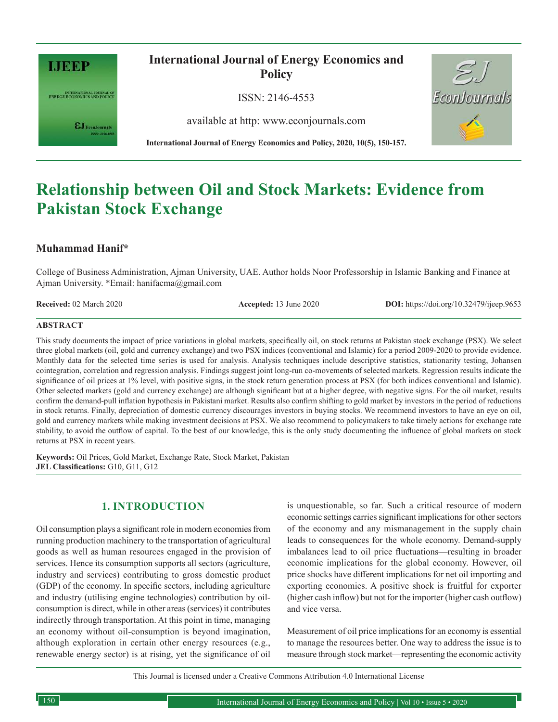

INTERNATIONAL JOURNAL OF<br>ENERGY ECONOMICS AND POLICY

 $\pmb{\text{EJ}}$ Econ.<br>Iournals

**International Journal of Energy Economics and Policy**

ISSN: 2146-4553

available at http: www.econjournals.com



**International Journal of Energy Economics and Policy, 2020, 10(5), 150-157.**

# **Relationship between Oil and Stock Markets: Evidence from Pakistan Stock Exchange**

# **Muhammad Hanif\***

College of Business Administration, Ajman University, UAE. Author holds Noor Professorship in Islamic Banking and Finance at Ajman University. \*Email: hanifacma@gmail.com

**Received:** 02 March 2020 **Accepted:** 13 June 2020 **DOI:** https://doi.org/10.32479/ijeep.9653

# **ABSTRACT**

This study documents the impact of price variations in global markets, specifically oil, on stock returns at Pakistan stock exchange (PSX). We select three global markets (oil, gold and currency exchange) and two PSX indices (conventional and Islamic) for a period 2009-2020 to provide evidence. Monthly data for the selected time series is used for analysis. Analysis techniques include descriptive statistics, stationarity testing, Johansen cointegration, correlation and regression analysis. Findings suggest joint long-run co-movements of selected markets. Regression results indicate the significance of oil prices at 1% level, with positive signs, in the stock return generation process at PSX (for both indices conventional and Islamic). Other selected markets (gold and currency exchange) are although significant but at a higher degree, with negative signs. For the oil market, results confirm the demand-pull inflation hypothesis in Pakistani market. Results also confirm shifting to gold market by investors in the period of reductions in stock returns. Finally, depreciation of domestic currency discourages investors in buying stocks. We recommend investors to have an eye on oil, gold and currency markets while making investment decisions at PSX. We also recommend to policymakers to take timely actions for exchange rate stability, to avoid the outflow of capital. To the best of our knowledge, this is the only study documenting the influence of global markets on stock returns at PSX in recent years.

**Keywords:** Oil Prices, Gold Market, Exchange Rate, Stock Market, Pakistan **JEL Classifications:** G10, G11, G12

# **1. INTRODUCTION**

Oil consumption plays a significant role in modern economies from running production machinery to the transportation of agricultural goods as well as human resources engaged in the provision of services. Hence its consumption supports all sectors (agriculture, industry and services) contributing to gross domestic product (GDP) of the economy. In specific sectors, including agriculture and industry (utilising engine technologies) contribution by oilconsumption is direct, while in other areas (services) it contributes indirectly through transportation. At this point in time, managing an economy without oil-consumption is beyond imagination, although exploration in certain other energy resources (e.g., renewable energy sector) is at rising, yet the significance of oil

is unquestionable, so far. Such a critical resource of modern economic settings carries significant implications for other sectors of the economy and any mismanagement in the supply chain leads to consequences for the whole economy. Demand-supply imbalances lead to oil price fluctuations—resulting in broader economic implications for the global economy. However, oil price shocks have different implications for net oil importing and exporting economies. A positive shock is fruitful for exporter (higher cash inflow) but not for the importer (higher cash outflow) and vice versa.

Measurement of oil price implications for an economy is essential to manage the resources better. One way to address the issue is to measure through stock market—representing the economic activity

This Journal is licensed under a Creative Commons Attribution 4.0 International License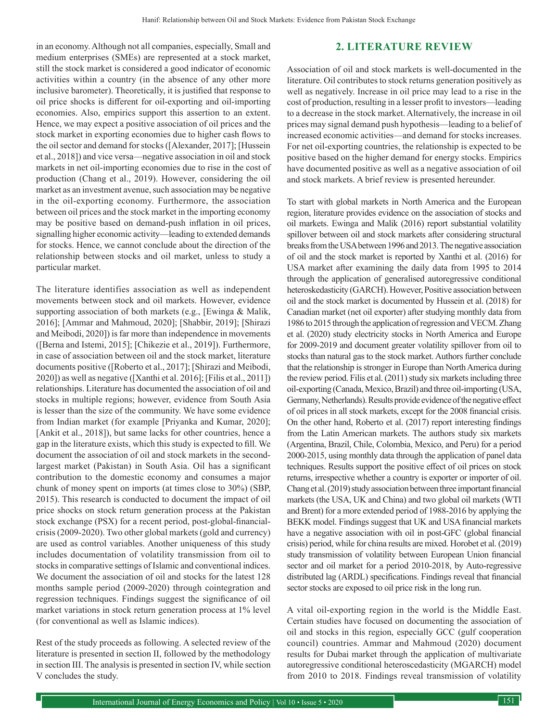in an economy. Although not all companies, especially, Small and medium enterprises (SMEs) are represented at a stock market, still the stock market is considered a good indicator of economic activities within a country (in the absence of any other more inclusive barometer). Theoretically, it is justified that response to oil price shocks is different for oil-exporting and oil-importing economies. Also, empirics support this assertion to an extent. Hence, we may expect a positive association of oil prices and the stock market in exporting economies due to higher cash flows to the oil sector and demand for stocks ([Alexander, 2017]; [Hussein et al., 2018]) and vice versa—negative association in oil and stock markets in net oil-importing economies due to rise in the cost of production (Chang et al., 2019). However, considering the oil market as an investment avenue, such association may be negative in the oil-exporting economy. Furthermore, the association between oil prices and the stock market in the importing economy may be positive based on demand-push inflation in oil prices, signalling higher economic activity—leading to extended demands for stocks. Hence, we cannot conclude about the direction of the relationship between stocks and oil market, unless to study a particular market.

The literature identifies association as well as independent movements between stock and oil markets. However, evidence supporting association of both markets (e.g., [Ewinga & Malik, 2016]; [Ammar and Mahmoud, 2020]; [Shabbir, 2019]; [Shirazi and Meibodi, 2020]) is far more than independence in movements ([Berna and Istemi, 2015]; [Chikezie et al., 2019]). Furthermore, in case of association between oil and the stock market, literature documents positive ([Roberto et al., 2017]; [Shirazi and Meibodi, 2020]) as well as negative ([Xanthi et al. 2016]; [Filis et al., 2011]) relationships. Literature has documented the association of oil and stocks in multiple regions; however, evidence from South Asia is lesser than the size of the community. We have some evidence from Indian market (for example [Priyanka and Kumar, 2020]; [Ankit et al., 2018]), but same lacks for other countries, hence a gap in the literature exists, which this study is expected to fill. We document the association of oil and stock markets in the secondlargest market (Pakistan) in South Asia. Oil has a significant contribution to the domestic economy and consumes a major chunk of money spent on imports (at times close to 30%) (SBP, 2015). This research is conducted to document the impact of oil price shocks on stock return generation process at the Pakistan stock exchange (PSX) for a recent period, post-global-financialcrisis (2009-2020). Two other global markets (gold and currency) are used as control variables. Another uniqueness of this study includes documentation of volatility transmission from oil to stocks in comparative settings of Islamic and conventional indices. We document the association of oil and stocks for the latest 128 months sample period (2009-2020) through cointegration and regression techniques. Findings suggest the significance of oil market variations in stock return generation process at 1% level (for conventional as well as Islamic indices).

Rest of the study proceeds as following. A selected review of the literature is presented in section II, followed by the methodology in section III. The analysis is presented in section IV, while section V concludes the study.

# **2. LITERATURE REVIEW**

Association of oil and stock markets is well-documented in the literature. Oil contributes to stock returns generation positively as well as negatively. Increase in oil price may lead to a rise in the cost of production, resulting in a lesser profit to investors—leading to a decrease in the stock market. Alternatively, the increase in oil prices may signal demand push hypothesis—leading to a belief of increased economic activities—and demand for stocks increases. For net oil-exporting countries, the relationship is expected to be positive based on the higher demand for energy stocks. Empirics have documented positive as well as a negative association of oil and stock markets. A brief review is presented hereunder.

To start with global markets in North America and the European region, literature provides evidence on the association of stocks and oil markets. Ewinga and Malik (2016) report substantial volatility spillover between oil and stock markets after considering structural breaks from the USA between 1996 and 2013. The negative association of oil and the stock market is reported by Xanthi et al. (2016) for USA market after examining the daily data from 1995 to 2014 through the application of generalised autoregressive conditional heteroskedasticity (GARCH). However, Positive association between oil and the stock market is documented by Hussein et al. (2018) for Canadian market (net oil exporter) after studying monthly data from 1986 to 2015 through the application of regression and VECM. Zhang et al. (2020) study electricity stocks in North America and Europe for 2009-2019 and document greater volatility spillover from oil to stocks than natural gas to the stock market. Authors further conclude that the relationship is stronger in Europe than North America during the review period. Filis et al. (2011) study six markets including three oil-exporting (Canada, Mexico, Brazil) and three oil-importing (USA, Germany, Netherlands). Results provide evidence of the negative effect of oil prices in all stock markets, except for the 2008 financial crisis. On the other hand, Roberto et al. (2017) report interesting findings from the Latin American markets. The authors study six markets (Argentina, Brazil, Chile, Colombia, Mexico, and Peru) for a period 2000-2015, using monthly data through the application of panel data techniques. Results support the positive effect of oil prices on stock returns, irrespective whether a country is exporter or importer of oil. Chang et al. (2019) study association between three important financial markets (the USA, UK and China) and two global oil markets (WTI and Brent) for a more extended period of 1988-2016 by applying the BEKK model. Findings suggest that UK and USA financial markets have a negative association with oil in post-GFC (global financial crisis) period, while for china results are mixed. Horobet et al. (2019) study transmission of volatility between European Union financial sector and oil market for a period 2010-2018, by Auto-regressive distributed lag (ARDL) specifications. Findings reveal that financial sector stocks are exposed to oil price risk in the long run.

A vital oil-exporting region in the world is the Middle East. Certain studies have focused on documenting the association of oil and stocks in this region, especially GCC (gulf cooperation council) countries. Ammar and Mahmoud (2020) document results for Dubai market through the application of multivariate autoregressive conditional heteroscedasticity (MGARCH) model from 2010 to 2018. Findings reveal transmission of volatility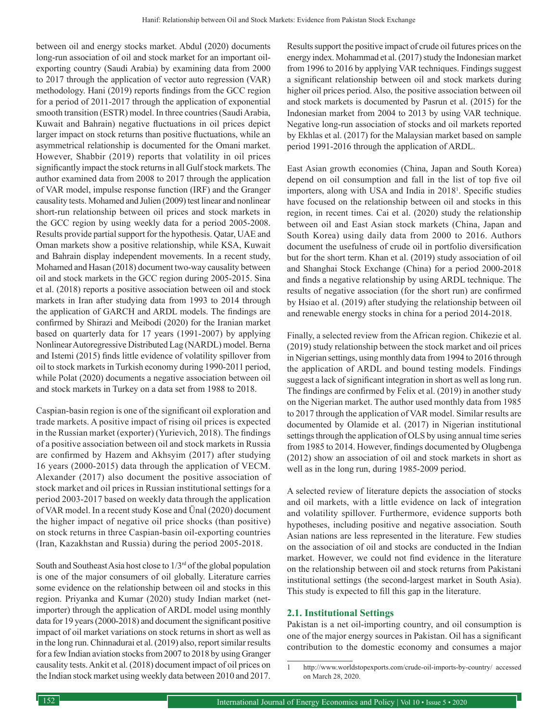between oil and energy stocks market. Abdul (2020) documents long-run association of oil and stock market for an important oilexporting country (Saudi Arabia) by examining data from 2000 to 2017 through the application of vector auto regression (VAR) methodology. Hani (2019) reports findings from the GCC region for a period of 2011-2017 through the application of exponential smooth transition (ESTR) model. In three countries (Saudi Arabia, Kuwait and Bahrain) negative fluctuations in oil prices depict larger impact on stock returns than positive fluctuations, while an asymmetrical relationship is documented for the Omani market. However, Shabbir (2019) reports that volatility in oil prices significantly impact the stock returns in all Gulf stock markets. The author examined data from 2008 to 2017 through the application of VAR model, impulse response function (IRF) and the Granger causality tests. Mohamed and Julien (2009) test linear and nonlinear short-run relationship between oil prices and stock markets in the GCC region by using weekly data for a period 2005-2008. Results provide partial support for the hypothesis. Qatar, UAE and Oman markets show a positive relationship, while KSA, Kuwait and Bahrain display independent movements. In a recent study, Mohamed and Hasan (2018) document two-way causality between oil and stock markets in the GCC region during 2005-2015. Sina et al. (2018) reports a positive association between oil and stock markets in Iran after studying data from 1993 to 2014 through the application of GARCH and ARDL models. The findings are confirmed by Shirazi and Meibodi (2020) for the Iranian market based on quarterly data for 17 years (1991-2007) by applying Nonlinear Autoregressive Distributed Lag (NARDL) model. Berna and Istemi (2015) finds little evidence of volatility spillover from oil to stock markets in Turkish economy during 1990-2011 period, while Polat (2020) documents a negative association between oil and stock markets in Turkey on a data set from 1988 to 2018.

Caspian-basin region is one of the significant oil exploration and trade markets. A positive impact of rising oil prices is expected in the Russian market (exporter) (Yurievich, 2018). The findings of a positive association between oil and stock markets in Russia are confirmed by Hazem and Akhsyim (2017) after studying 16 years (2000-2015) data through the application of VECM. Alexander (2017) also document the positive association of stock market and oil prices in Russian institutional settings for a period 2003-2017 based on weekly data through the application of VAR model. In a recent study Kose and Ünal (2020) document the higher impact of negative oil price shocks (than positive) on stock returns in three Caspian-basin oil-exporting countries (Iran, Kazakhstan and Russia) during the period 2005-2018.

South and Southeast Asia host close to 1/3rd of the global population is one of the major consumers of oil globally. Literature carries some evidence on the relationship between oil and stocks in this region. Priyanka and Kumar (2020) study Indian market (netimporter) through the application of ARDL model using monthly data for 19 years (2000-2018) and document the significant positive impact of oil market variations on stock returns in short as well as in the long run. Chinnadurai et al. (2019) also, report similar results for a few Indian aviation stocks from 2007 to 2018 by using Granger causality tests. Ankit et al. (2018) document impact of oil prices on the Indian stock market using weekly data between 2010 and 2017. Results support the positive impact of crude oil futures prices on the energy index. Mohammad et al. (2017) study the Indonesian market from 1996 to 2016 by applying VAR techniques. Findings suggest a significant relationship between oil and stock markets during higher oil prices period. Also, the positive association between oil and stock markets is documented by Pasrun et al. (2015) for the Indonesian market from 2004 to 2013 by using VAR technique. Negative long-run association of stocks and oil markets reported by Ekhlas et al. (2017) for the Malaysian market based on sample period 1991-2016 through the application of ARDL.

East Asian growth economies (China, Japan and South Korea) depend on oil consumption and fall in the list of top five oil importers, along with USA and India in 2018<sup>1</sup>. Specific studies have focused on the relationship between oil and stocks in this region, in recent times. Cai et al. (2020) study the relationship between oil and East Asian stock markets (China, Japan and South Korea) using daily data from 2000 to 2016. Authors document the usefulness of crude oil in portfolio diversification but for the short term. Khan et al. (2019) study association of oil and Shanghai Stock Exchange (China) for a period 2000-2018 and finds a negative relationship by using ARDL technique. The results of negative association (for the short run) are confirmed by Hsiao et al. (2019) after studying the relationship between oil and renewable energy stocks in china for a period 2014-2018.

Finally, a selected review from the African region. Chikezie et al. (2019) study relationship between the stock market and oil prices in Nigerian settings, using monthly data from 1994 to 2016 through the application of ARDL and bound testing models. Findings suggest a lack of significant integration in short as well as long run. The findings are confirmed by Felix et al. (2019) in another study on the Nigerian market. The author used monthly data from 1985 to 2017 through the application of VAR model. Similar results are documented by Olamide et al. (2017) in Nigerian institutional settings through the application of OLS by using annual time series from 1985 to 2014. However, findings documented by Olugbenga (2012) show an association of oil and stock markets in short as well as in the long run, during 1985-2009 period.

A selected review of literature depicts the association of stocks and oil markets, with a little evidence on lack of integration and volatility spillover. Furthermore, evidence supports both hypotheses, including positive and negative association. South Asian nations are less represented in the literature. Few studies on the association of oil and stocks are conducted in the Indian market. However, we could not find evidence in the literature on the relationship between oil and stock returns from Pakistani institutional settings (the second-largest market in South Asia). This study is expected to fill this gap in the literature.

# **2.1. Institutional Settings**

Pakistan is a net oil-importing country, and oil consumption is one of the major energy sources in Pakistan. Oil has a significant contribution to the domestic economy and consumes a major

<sup>1</sup> http://www.worldstopexports.com/crude-oil-imports-by-country/ accessed on March 28, 2020.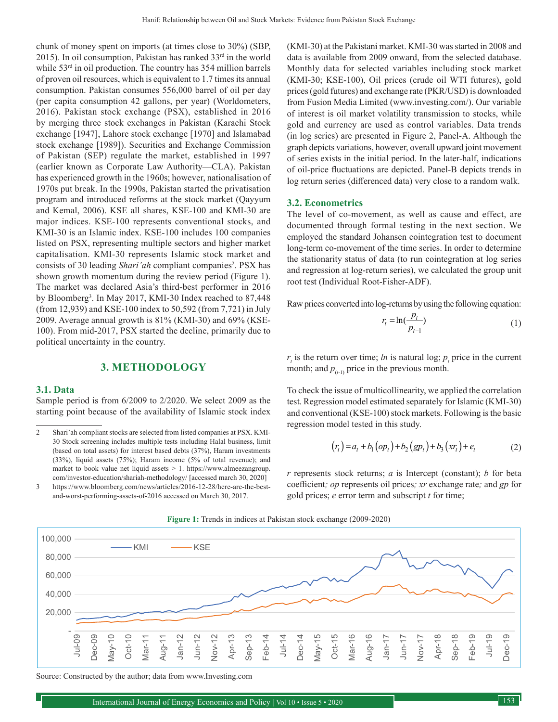chunk of money spent on imports (at times close to 30%) (SBP, 2015). In oil consumption, Pakistan has ranked  $33<sup>rd</sup>$  in the world while 53<sup>rd</sup> in oil production. The country has 354 million barrels of proven oil resources, which is equivalent to 1.7 times its annual consumption. Pakistan consumes 556,000 barrel of oil per day (per capita consumption 42 gallons, per year) (Worldometers, 2016). Pakistan stock exchange (PSX), established in 2016 by merging three stock exchanges in Pakistan (Karachi Stock exchange [1947], Lahore stock exchange [1970] and Islamabad stock exchange [1989]). Securities and Exchange Commission of Pakistan (SEP) regulate the market, established in 1997 (earlier known as Corporate Law Authority—CLA). Pakistan has experienced growth in the 1960s; however, nationalisation of 1970s put break. In the 1990s, Pakistan started the privatisation program and introduced reforms at the stock market (Qayyum and Kemal, 2006). KSE all shares, KSE-100 and KMI-30 are major indices. KSE-100 represents conventional stocks, and KMI-30 is an Islamic index. KSE-100 includes 100 companies listed on PSX, representing multiple sectors and higher market capitalisation. KMI-30 represents Islamic stock market and consists of 30 leading *Shari'ah* compliant companies<sup>2</sup>. PSX has shown growth momentum during the review period (Figure 1). The market was declared Asia's third-best performer in 2016 by Bloomberg<sup>3</sup>. In May 2017, KMI-30 Index reached to 87,448 (from 12,939) and KSE-100 index to 50,592 (from 7,721) in July 2009. Average annual growth is 81% (KMI-30) and 69% (KSE-100). From mid-2017, PSX started the decline, primarily due to political uncertainty in the country.

# **3. METHODOLOGY**

#### **3.1. Data**

Sample period is from 6/2009 to 2/2020. We select 2009 as the starting point because of the availability of Islamic stock index

3 https://www.bloomberg.com/news/articles/2016-12-28/here-are-the-bestand-worst-performing-assets-of-2016 accessed on March 30, 2017.

(KMI-30) at the Pakistani market. KMI-30 was started in 2008 and data is available from 2009 onward, from the selected database. Monthly data for selected variables including stock market (KMI-30; KSE-100), Oil prices (crude oil WTI futures), gold prices (gold futures) and exchange rate (PKR/USD) is downloaded from Fusion Media Limited (www.investing.com/). Our variable of interest is oil market volatility transmission to stocks, while gold and currency are used as control variables. Data trends (in log series) are presented in Figure 2, Panel-A. Although the graph depicts variations, however, overall upward joint movement of series exists in the initial period. In the later-half, indications of oil-price fluctuations are depicted. Panel-B depicts trends in log return series (differenced data) very close to a random walk.

#### **3.2. Econometrics**

The level of co-movement, as well as cause and effect, are documented through formal testing in the next section. We employed the standard Johansen cointegration test to document long-term co-movement of the time series. In order to determine the stationarity status of data (to run cointegration at log series and regression at log-return series), we calculated the group unit root test (Individual Root-Fisher-ADF).

Raw prices converted into log-returns by using the following equation:

$$
r_t = \ln(\frac{p_t}{p_{t-1}})
$$
\n<sup>(1)</sup>

 $r<sub>t</sub>$  is the return over time; *ln* is natural log;  $p<sub>t</sub>$  price in the current month; and  $p_{(t-1)}$  price in the previous month.

To check the issue of multicollinearity, we applied the correlation test. Regression model estimated separately for Islamic (KMI-30) and conventional (KSE-100) stock markets. Following is the basic regression model tested in this study.

$$
(r_t) = a_t + b_1 (op_t) + b_2 (gp_t) + b_3 (xr_t) + e_t
$$
 (2)

*r* represents stock returns; *a* is Intercept (constant); *b* for beta coefficient*; op* represents oil prices*; xr* exchange rate*;* and *gp* for gold prices; *e* error term and subscript *t* for time;



**Figure 1:** Trends in indices at Pakistan stock exchange (2009-2020)

<sup>2</sup> Shari'ah compliant stocks are selected from listed companies at PSX. KMI-30 Stock screening includes multiple tests including Halal business, limit (based on total assets) for interest based debts (37%), Haram investments (33%), liquid assets (75%); Haram income (5% of total revenue); and market to book value net liquid assets > 1. https://www.almeezangroup. com/investor-education/shariah-methodology/ [accessed march 30, 2020]

Source: Constructed by the author; data from www.Investing.com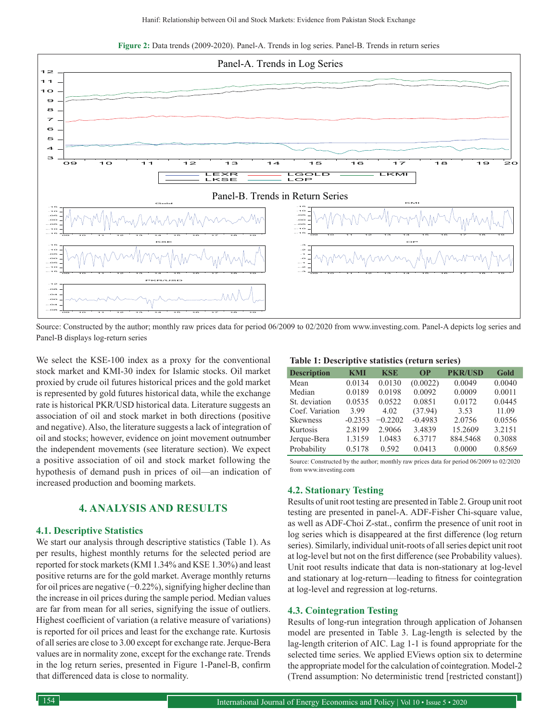

**Figure 2:** Data trends (2009-2020). Panel-A. Trends in log series. Panel-B. Trends in return series

Source: Constructed by the author; monthly raw prices data for period 06/2009 to 02/2020 from www.investing.com. Panel-A depicts log series and Panel-B displays log-return series

We select the KSE-100 index as a proxy for the conventional stock market and KMI-30 index for Islamic stocks. Oil market proxied by crude oil futures historical prices and the gold market is represented by gold futures historical data, while the exchange rate is historical PKR/USD historical data. Literature suggests an association of oil and stock market in both directions (positive and negative). Also, the literature suggests a lack of integration of oil and stocks; however, evidence on joint movement outnumber the independent movements (see literature section). We expect a positive association of oil and stock market following the hypothesis of demand push in prices of oil—an indication of increased production and booming markets.

# **4. ANALYSIS AND RESULTS**

# **4.1. Descriptive Statistics**

We start our analysis through descriptive statistics (Table 1). As per results, highest monthly returns for the selected period are reported for stock markets (KMI 1.34% and KSE 1.30%) and least positive returns are for the gold market. Average monthly returns for oil prices are negative (−0.22%), signifying higher decline than the increase in oil prices during the sample period. Median values are far from mean for all series, signifying the issue of outliers. Highest coefficient of variation (a relative measure of variations) is reported for oil prices and least for the exchange rate. Kurtosis of all series are close to 3.00 except for exchange rate. Jerque-Bera values are in normality zone, except for the exchange rate. Trends in the log return series, presented in Figure 1-Panel-B, confirm that differenced data is close to normality.

# **Table 1: Descriptive statistics (return series)**

| <b>Description</b> | <b>KMI</b> | <b>KSE</b> | <b>OP</b> | <b>PKR/USD</b> | Gold   |
|--------------------|------------|------------|-----------|----------------|--------|
| Mean               | 0.0134     | 0.0130     | (0.0022)  | 0.0049         | 0.0040 |
| Median             | 0.0189     | 0.0198     | 0.0092    | 0.0009         | 0.0011 |
| St. deviation      | 0.0535     | 0.0522     | 0.0851    | 0.0172         | 0.0445 |
| Coef. Variation    | 3.99       | 4.02       | (37.94)   | 3.53           | 11.09  |
| <b>Skewness</b>    | $-0.2353$  | $-0.2202$  | $-0.4983$ | 2.0756         | 0.0556 |
| Kurtosis           | 2.8199     | 2.9066     | 3.4839    | 15.2609        | 3.2151 |
| Jerque-Bera        | 1.3159     | 1.0483     | 6.3717    | 884.5468       | 0.3088 |
| Probability        | 0.5178     | 0.592      | 0.0413    | 0.0000         | 0.8569 |

Source: Constructed by the author; monthly raw prices data for period 06/2009 to 02/2020 from www.investing.com

#### **4.2. Stationary Testing**

Results of unit root testing are presented in Table 2. Group unit root testing are presented in panel-A. ADF-Fisher Chi-square value, as well as ADF-Choi Z-stat., confirm the presence of unit root in log series which is disappeared at the first difference (log return series). Similarly, individual unit-roots of all series depict unit root at log-level but not on the first difference (see Probability values). Unit root results indicate that data is non-stationary at log-level and stationary at log-return—leading to fitness for cointegration at log-level and regression at log-returns.

#### **4.3. Cointegration Testing**

Results of long-run integration through application of Johansen model are presented in Table 3. Lag-length is selected by the lag-length criterion of AIC. Lag 1-1 is found appropriate for the selected time series. We applied EViews option six to determine the appropriate model for the calculation of cointegration. Model-2 (Trend assumption: No deterministic trend [restricted constant])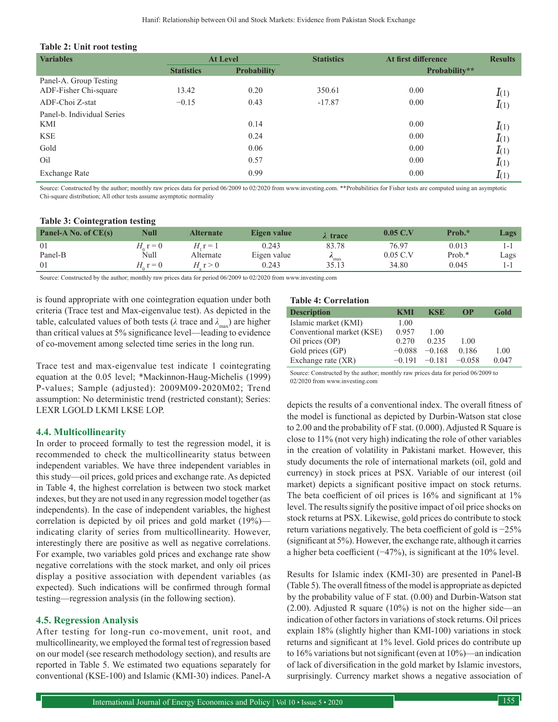#### **Table 2: Unit root testing**

| <b>Variables</b>           | <b>At Level</b>   |                    | <b>Statistics</b> | At first difference | <b>Results</b> |
|----------------------------|-------------------|--------------------|-------------------|---------------------|----------------|
|                            | <b>Statistics</b> | <b>Probability</b> |                   | Probability**       |                |
| Panel-A. Group Testing     |                   |                    |                   |                     |                |
| ADF-Fisher Chi-square      | 13.42             | 0.20               | 350.61            | 0.00                | I(1)           |
| ADF-Choi Z-stat            | $-0.15$           | 0.43               | $-17.87$          | 0.00                | I(1)           |
| Panel-b. Individual Series |                   |                    |                   |                     |                |
| KMI                        |                   | 0.14               |                   | 0.00                | I(1)           |
| <b>KSE</b>                 |                   | 0.24               |                   | 0.00                | I(1)           |
| Gold                       |                   | 0.06               |                   | 0.00                | I(1)           |
| Oil                        |                   | 0.57               |                   | 0.00                | I(1)           |
| <b>Exchange Rate</b>       |                   | 0.99               |                   | 0.00                | $I_{(1)}$      |

Source: Constructed by the author; monthly raw prices data for period 06/2009 to 02/2020 from www.investing.com. \*\*Probabilities for Fisher tests are computed using an asymptotic Chi-square distribution; All other tests assume asymptotic normality

#### **Table 3: Cointegration testing**

| Panel-A No. of $CE(s)$ | Null        | Alternate     | Eigen value | λ trace          | $0.05 \mathrm{C}$ . V | Prob.*   | <b>Lags</b> |
|------------------------|-------------|---------------|-------------|------------------|-----------------------|----------|-------------|
| 01                     | $H_0 r = 0$ | $H \cdot r =$ | 0.243       | 83.78            | 76.97                 | 0.013    | $1 -$       |
| Panel-B                | Null        | Alternate     | Eigen value | $v_{\text{max}}$ | $0.05 \text{ C.V}$    | $Prob.*$ | Lags        |
| 01                     | H, $r = 0$  | r > 0         | 0.243       | 35.13            | 34.80                 | 0.045    | I-          |

Source: Constructed by the author; monthly raw prices data for period 06/2009 to 02/2020 from www.investing.com

is found appropriate with one cointegration equation under both criteria (Trace test and Max-eigenvalue test). As depicted in the table, calculated values of both tests ( $\lambda$  trace and  $\lambda_{\text{max}}$ ) are higher than critical values at 5% significance level—leading to evidence of co-movement among selected time series in the long run.

Trace test and max-eigenvalue test indicate 1 cointegrating equation at the 0.05 level; \*Mackinnon-Haug-Michelis (1999) P-values; Sample (adjusted): 2009M09-2020M02; Trend assumption: No deterministic trend (restricted constant); Series: LEXR LGOLD LKMI LKSE LOP.

#### **4.4. Multicollinearity**

In order to proceed formally to test the regression model, it is recommended to check the multicollinearity status between independent variables. We have three independent variables in this study—oil prices, gold prices and exchange rate. As depicted in Table 4, the highest correlation is between two stock market indexes, but they are not used in any regression model together (as independents). In the case of independent variables, the highest correlation is depicted by oil prices and gold market (19%) indicating clarity of series from multicollinearity. However, interestingly there are positive as well as negative correlations. For example, two variables gold prices and exchange rate show negative correlations with the stock market, and only oil prices display a positive association with dependent variables (as expected). Such indications will be confirmed through formal testing—regression analysis (in the following section).

#### **4.5. Regression Analysis**

After testing for long-run co-movement, unit root, and multicollinearity, we employed the formal test of regression based on our model (see research methodology section), and results are reported in Table 5. We estimated two equations separately for conventional (KSE-100) and Islamic (KMI-30) indices. Panel-A

### **Table 4: Correlation**

| таміс і: Соггенимі        |            |            |          |       |
|---------------------------|------------|------------|----------|-------|
| <b>Description</b>        | <b>KMI</b> | <b>KSE</b> | OP       | Gold  |
| Islamic market (KMI)      | 1.00       |            |          |       |
| Conventional market (KSE) | 0.957      | 1.00       |          |       |
| Oil prices (OP)           | 0.270      | 0.235      | 1.00     |       |
| Gold prices (GP)          | $-0.088$   | $-0.168$   | 0.186    | 1.00  |
| Exchange rate (XR)        | $-0.191$   | $-0.181$   | $-0.058$ | 0.047 |

Source: Constructed by the author; monthly raw prices data for period 06/2009 to 02/2020 from www.investing.com

depicts the results of a conventional index. The overall fitness of the model is functional as depicted by Durbin-Watson stat close to 2.00 and the probability of F stat. (0.000). Adjusted R Square is close to 11% (not very high) indicating the role of other variables in the creation of volatility in Pakistani market. However, this study documents the role of international markets (oil, gold and currency) in stock prices at PSX. Variable of our interest (oil market) depicts a significant positive impact on stock returns. The beta coefficient of oil prices is 16% and significant at 1% level. The results signify the positive impact of oil price shocks on stock returns at PSX. Likewise, gold prices do contribute to stock return variations negatively. The beta coefficient of gold is −25% (significant at 5%). However, the exchange rate, although it carries a higher beta coefficient (−47%), is significant at the 10% level.

Results for Islamic index (KMI-30) are presented in Panel-B (Table 5). The overall fitness of the model is appropriate as depicted by the probability value of F stat. (0.00) and Durbin-Watson stat (2.00). Adjusted R square (10%) is not on the higher side—an indication of other factors in variations of stock returns. Oil prices explain 18% (slightly higher than KMI-100) variations in stock returns and significant at 1% level. Gold prices do contribute up to 16% variations but not significant (even at 10%)—an indication of lack of diversification in the gold market by Islamic investors, surprisingly. Currency market shows a negative association of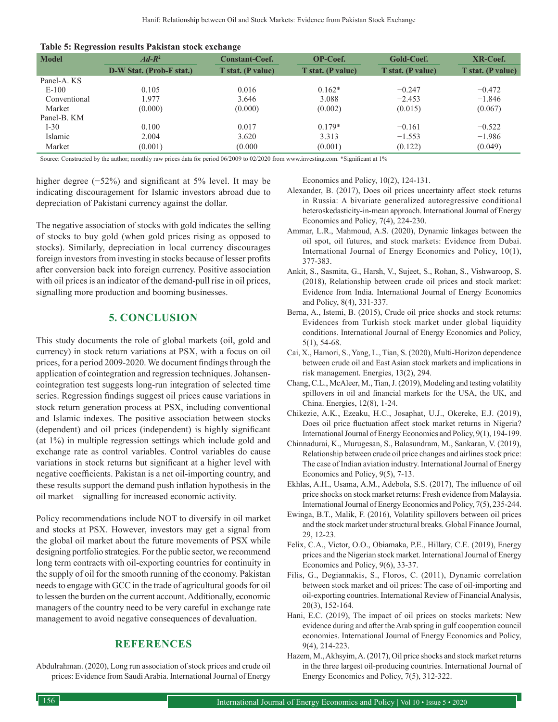| Table 5: Regression results Pakistan stock exchange |  |  |  |
|-----------------------------------------------------|--|--|--|
|-----------------------------------------------------|--|--|--|

| <b>Model</b> | $Ad-R^2$                 | <b>Constant-Coef.</b> | <b>OP-Coef.</b>   | Gold-Coef.        | XR-Coef.          |
|--------------|--------------------------|-----------------------|-------------------|-------------------|-------------------|
|              | D-W Stat. (Prob-F stat.) | T stat. (P value)     | T stat. (P value) | T stat. (P value) | T stat. (P value) |
| Panel-A. KS  |                          |                       |                   |                   |                   |
| $E-100$      | 0.105                    | 0.016                 | $0.162*$          | $-0.247$          | $-0.472$          |
| Conventional | 1.977                    | 3.646                 | 3.088             | $-2.453$          | $-1.846$          |
| Market       | (0.000)                  | (0.000)               | (0.002)           | (0.015)           | (0.067)           |
| Panel-B. KM  |                          |                       |                   |                   |                   |
| $I-30$       | 0.100                    | 0.017                 | $0.179*$          | $-0.161$          | $-0.522$          |
| Islamic      | 2.004                    | 3.620                 | 3.313             | $-1.553$          | $-1.986$          |
| Market       | (0.001)                  | (0.000)               | (0.001)           | (0.122)           | (0.049)           |

Source: Constructed by the author; monthly raw prices data for period 06/2009 to 02/2020 from www.investing.com. \*Significant at 1%

higher degree (−52%) and significant at 5% level. It may be indicating discouragement for Islamic investors abroad due to depreciation of Pakistani currency against the dollar.

The negative association of stocks with gold indicates the selling of stocks to buy gold (when gold prices rising as opposed to stocks). Similarly, depreciation in local currency discourages foreign investors from investing in stocks because of lesser profits after conversion back into foreign currency. Positive association with oil prices is an indicator of the demand-pull rise in oil prices, signalling more production and booming businesses.

# **5. CONCLUSION**

This study documents the role of global markets (oil, gold and currency) in stock return variations at PSX, with a focus on oil prices, for a period 2009-2020. We document findings through the application of cointegration and regression techniques. Johansencointegration test suggests long-run integration of selected time series. Regression findings suggest oil prices cause variations in stock return generation process at PSX, including conventional and Islamic indexes. The positive association between stocks (dependent) and oil prices (independent) is highly significant (at 1%) in multiple regression settings which include gold and exchange rate as control variables. Control variables do cause variations in stock returns but significant at a higher level with negative coefficients. Pakistan is a net oil-importing country, and these results support the demand push inflation hypothesis in the oil market—signalling for increased economic activity.

Policy recommendations include NOT to diversify in oil market and stocks at PSX. However, investors may get a signal from the global oil market about the future movements of PSX while designing portfolio strategies. For the public sector, we recommend long term contracts with oil-exporting countries for continuity in the supply of oil for the smooth running of the economy. Pakistan needs to engage with GCC in the trade of agricultural goods for oil to lessen the burden on the current account. Additionally, economic managers of the country need to be very careful in exchange rate management to avoid negative consequences of devaluation.

# **REFERENCES**

Abdulrahman. (2020), Long run association of stock prices and crude oil prices: Evidence from Saudi Arabia. International Journal of Energy Economics and Policy, 10(2), 124-131.

- Alexander, B. (2017), Does oil prices uncertainty affect stock returns in Russia: A bivariate generalized autoregressive conditional heteroskedasticity-in-mean approach. International Journal of Energy Economics and Policy, 7(4), 224-230.
- Ammar, L.R., Mahmoud, A.S. (2020), Dynamic linkages between the oil spot, oil futures, and stock markets: Evidence from Dubai. International Journal of Energy Economics and Policy, 10(1), 377-383.
- Ankit, S., Sasmita, G., Harsh, V., Sujeet, S., Rohan, S., Vishwaroop, S. (2018), Relationship between crude oil prices and stock market: Evidence from India. International Journal of Energy Economics and Policy, 8(4), 331-337.
- Berna, A., Istemi, B. (2015), Crude oil price shocks and stock returns: Evidences from Turkish stock market under global liquidity conditions. International Journal of Energy Economics and Policy, 5(1), 54-68.
- Cai, X., Hamori, S., Yang, L., Tian, S. (2020), Multi-Horizon dependence between crude oil and East Asian stock markets and implications in risk management. Energies, 13(2), 294.
- Chang, C.L., McAleer, M., Tian, J. (2019), Modeling and testing volatility spillovers in oil and financial markets for the USA, the UK, and China. Energies, 12(8), 1-24.
- Chikezie, A.K., Ezeaku, H.C., Josaphat, U.J., Okereke, E.J. (2019), Does oil price fluctuation affect stock market returns in Nigeria? International Journal of Energy Economics and Policy, 9(1), 194-199.
- Chinnadurai, K., Murugesan, S., Balasundram, M., Sankaran, V. (2019), Relationship between crude oil price changes and airlines stock price: The case of Indian aviation industry. International Journal of Energy Economics and Policy, 9(5), 7-13.
- Ekhlas, A.H., Usama, A.M., Adebola, S.S. (2017), The influence of oil price shocks on stock market returns: Fresh evidence from Malaysia. International Journal of Energy Economics and Policy, 7(5), 235-244.
- Ewinga, B.T., Malik, F. (2016), Volatility spillovers between oil prices and the stock market under structural breaks. Global Finance Journal, 29, 12-23.
- Felix, C.A., Victor, O.O., Obiamaka, P.E., Hillary, C.E. (2019), Energy prices and the Nigerian stock market. International Journal of Energy Economics and Policy, 9(6), 33-37.
- Filis, G., Degiannakis, S., Floros, C. (2011), Dynamic correlation between stock market and oil prices: The case of oil-importing and oil-exporting countries. International Review of Financial Analysis, 20(3), 152-164.
- Hani, E.C. (2019), The impact of oil prices on stocks markets: New evidence during and after the Arab spring in gulf cooperation council economies. International Journal of Energy Economics and Policy, 9(4), 214-223.
- Hazem, M., Akhsyim, A. (2017), Oil price shocks and stock market returns in the three largest oil-producing countries. International Journal of Energy Economics and Policy, 7(5), 312-322.